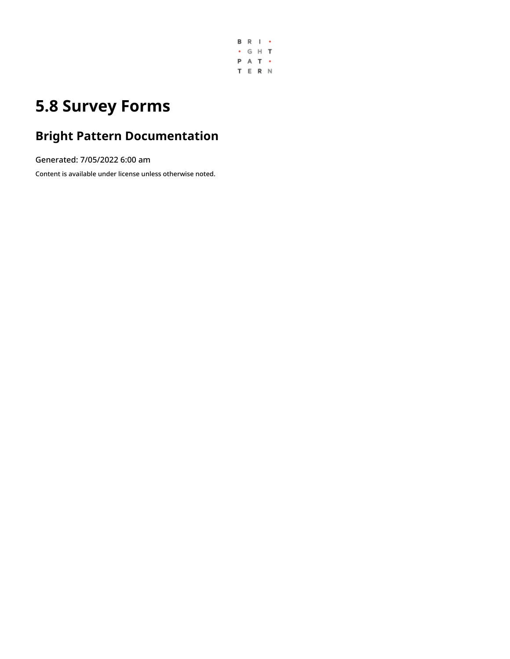

# **5.8 Survey Forms**

# **Bright Pattern Documentation**

Generated: 7/05/2022 6:00 am

Content is available under license unless otherwise noted.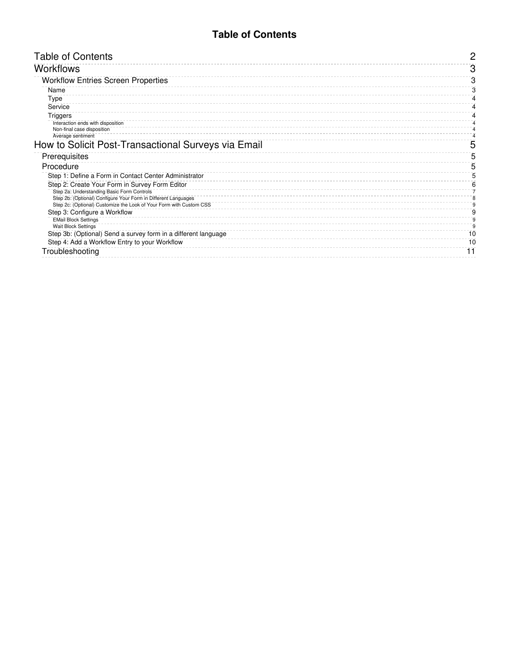# **Table of Contents**

<span id="page-1-0"></span>

| <b>Table of Contents</b>                                                                                                              | 2      |
|---------------------------------------------------------------------------------------------------------------------------------------|--------|
| Workflows                                                                                                                             | 3      |
| <b>Workflow Entries Screen Properties</b>                                                                                             | З      |
| Name                                                                                                                                  | 3      |
| <b>Type</b>                                                                                                                           |        |
| Service                                                                                                                               |        |
| <b>Triggers</b>                                                                                                                       |        |
| Interaction ends with disposition                                                                                                     |        |
| Non-final case disposition<br>Average sentiment                                                                                       |        |
| How to Solicit Post-Transactional Surveys via Email                                                                                   | 5      |
| Prerequisites                                                                                                                         | 5      |
| Procedure                                                                                                                             | 5      |
| Step 1: Define a Form in Contact Center Administrator                                                                                 | 5      |
| Step 2: Create Your Form in Survey Form Editor                                                                                        | 6      |
| Step 2a: Understanding Basic Form Controls                                                                                            |        |
| Step 2b: (Optional) Configure Your Form in Different Languages<br>Step 2c: (Optional) Customize the Look of Your Form with Custom CSS | 8<br>g |
| Step 3: Configure a Workflow                                                                                                          | 9      |
| <b>EMail Block Settings</b>                                                                                                           | 9      |
| <b>Wait Block Settings</b>                                                                                                            | g      |
| Step 3b: (Optional) Send a survey form in a different language                                                                        | 10     |
| Step 4: Add a Workflow Entry to your Workflow                                                                                         | 10     |
| Troubleshooting                                                                                                                       | 11     |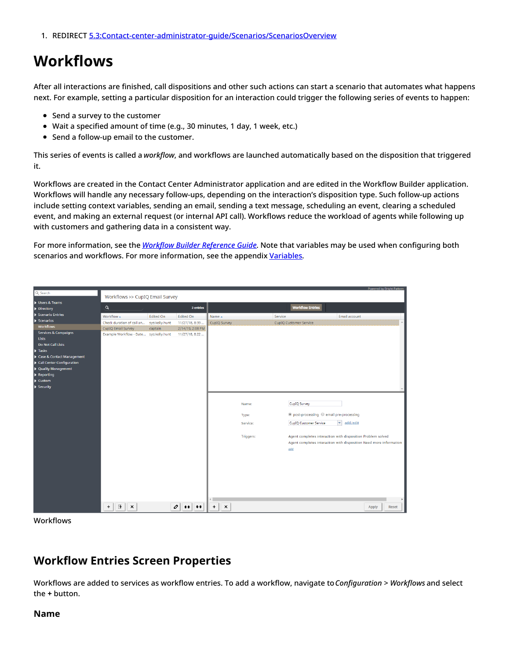1. REDIRECT [5.3:Contact-center-administrator-guide/Scenarios/ScenariosOverview](https://help.brightpattern.com/5.3:Contact-center-administrator-guide/Scenarios/ScenariosOverview)

# <span id="page-2-0"></span>**Workflows**

After all interactions are finished, call dispositions and other such actions can start a scenario that automates what happens next. For example, setting a particular disposition for an interaction could trigger the following series of events to happen:

- Send a survey to the customer
- Wait a specified amount of time (e.g., 30 minutes, 1 day, 1 week, etc.)
- Send a follow-up email to the customer.

This series of events is called a *workflow*, and workflows are launched automatically based on the disposition that triggered it.

Workflows are created in the Contact Center Administrator application and are edited in the Workflow Builder application. Workflows will handle any necessary follow-ups, depending on the interaction's disposition type. Such follow-up actions include setting context variables, sending an email, sending a text message, scheduling an event, clearing a scheduled event, and making an external request (or internal API call). Workflows reduce the workload of agents while following up with customers and gathering data in a consistent way.

For more information, see the *Workflow Builder [Reference](https://help.brightpattern.com/5.8:Contact-center-administrator-guide/QualityManagement/SurveyForms/?action=html-localimages-export#topic_workflow-builder-reference-guide.2Fpurpose) Guide*. Note that variables may be used when configuring both scenarios and workflows. For more information, see the appendix [Variables](https://help.brightpattern.com/5.8:Contact-center-administrator-guide/QualityManagement/SurveyForms/?action=html-localimages-export#topic_contact-center-administrator-guide.2Fappendices.2Fvariables).

|                                 |                                          |           |                             |                             |           |                                          | Powered by Bright Pattern                                          |
|---------------------------------|------------------------------------------|-----------|-----------------------------|-----------------------------|-----------|------------------------------------------|--------------------------------------------------------------------|
| Q Search                        | Workflows >> CupIQ Email Survey          |           |                             |                             |           |                                          |                                                                    |
| Users & Teams                   |                                          |           |                             |                             |           |                                          |                                                                    |
| $\blacktriangleright$ Directory | $\alpha$                                 |           | <b>3</b> entries            |                             |           | <b>Workflow Entries</b>                  |                                                                    |
| Scenario Entries                | Workflow ~                               | Edited On | Edited On                   | Name A                      |           | Service                                  | Email account                                                      |
| Scenarios                       | Check duration of call an sys:kelly.hunt |           | 11/27/18, 8:39              | CupIQ Survey                |           | <b>CupIQ Customer Service</b>            |                                                                    |
| <b>Workflows</b>                | CupIQ Email Survey                       | captain   | 2/14/19, 2:08 PM            |                             |           |                                          |                                                                    |
| Services & Campaigns            | Example Workflow - Date sys:kelly.hunt   |           | 11/27/18, 8:22              |                             |           |                                          |                                                                    |
| <b>Lists</b>                    |                                          |           |                             |                             |           |                                          |                                                                    |
| Do Not Call Lists               |                                          |           |                             |                             |           |                                          |                                                                    |
| $\blacktriangleright$ Tasks     |                                          |           |                             |                             |           |                                          |                                                                    |
| Case & Contact Management       |                                          |           |                             |                             |           |                                          |                                                                    |
| Call Center Configuration       |                                          |           |                             |                             |           |                                          |                                                                    |
| ▶ Quality Management            |                                          |           |                             |                             |           |                                          |                                                                    |
| $\blacktriangleright$ Reporting |                                          |           |                             |                             |           |                                          |                                                                    |
| $\blacktriangleright$ Custom    |                                          |           |                             |                             |           |                                          |                                                                    |
| $\blacktriangleright$ Security  |                                          |           |                             |                             |           |                                          |                                                                    |
|                                 |                                          |           |                             |                             |           |                                          |                                                                    |
|                                 |                                          |           |                             |                             | Name:     | CupIQ Survey                             |                                                                    |
|                                 |                                          |           |                             |                             | Type:     | O post-processing O email pre-processing |                                                                    |
|                                 |                                          |           |                             |                             |           |                                          |                                                                    |
|                                 |                                          |           |                             |                             | Service:  | CupIQ Customer Service                   | $\frac{}{\text{ }x}$ add/edit                                      |
|                                 |                                          |           |                             |                             | Triggers: |                                          | Agent completes interaction with disposition Problem solved        |
|                                 |                                          |           |                             |                             |           |                                          | Agent completes interaction with disposition Need more information |
|                                 |                                          |           |                             |                             |           | add                                      |                                                                    |
|                                 |                                          |           |                             |                             |           |                                          |                                                                    |
|                                 |                                          |           |                             |                             |           |                                          |                                                                    |
|                                 |                                          |           |                             |                             |           |                                          |                                                                    |
|                                 |                                          |           |                             |                             |           |                                          |                                                                    |
|                                 |                                          |           |                             |                             |           |                                          |                                                                    |
|                                 |                                          |           |                             |                             |           |                                          |                                                                    |
|                                 |                                          |           |                             |                             |           |                                          |                                                                    |
|                                 |                                          |           |                             |                             |           |                                          |                                                                    |
|                                 | Œ<br>×<br>$\ddot{}$                      |           | 0<br>**<br>$\bullet\bullet$ | $\pmb{\times}$<br>$\ddot{}$ |           |                                          | Apply<br>Reset                                                     |

Workflows

# <span id="page-2-1"></span>**Workflow Entries Screen Properties**

Workflows are added to services as workflow entries. To add a workflow, navigate to*Configuration > Workflows* and select the **+** button.

## <span id="page-2-2"></span>**Name**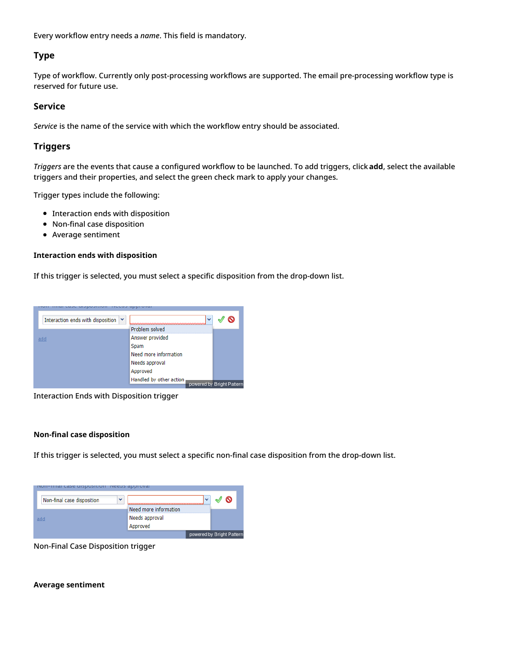Every workflow entry needs a *name*. This field is mandatory.

## <span id="page-3-0"></span>**Type**

Type of workflow. Currently only post-processing workflows are supported. The email pre-processing workflow type is reserved for future use.

## <span id="page-3-1"></span>**Service**

*Service* is the name of the service with which the workflow entry should be associated.

## <span id="page-3-2"></span>**Triggers**

*Triggers* are the events that cause a configured workflow to be launched. To add triggers, click **add**, select the available triggers and their properties, and select the green check mark to apply your changes.

Trigger types include the following:

- Interaction ends with disposition
- Non-final case disposition
- Average sentiment

#### <span id="page-3-3"></span>**Interaction ends with disposition**

If this trigger is selected, you must select a specific disposition from the drop-down list.



Interaction Ends with Disposition trigger

#### <span id="page-3-4"></span>**Non-final case disposition**

If this trigger is selected, you must select a specific non-final case disposition from the drop-down list.

| Lase uisposition           |                          |                       |                           |
|----------------------------|--------------------------|-----------------------|---------------------------|
| Non-final case disposition | $\overline{\phantom{a}}$ |                       |                           |
|                            |                          | Need more information |                           |
|                            |                          | Needs approval        |                           |
|                            |                          | Approved              |                           |
|                            |                          |                       | powered by Bright Pattern |

Non-Final Case Disposition trigger

<span id="page-3-5"></span>**Average sentiment**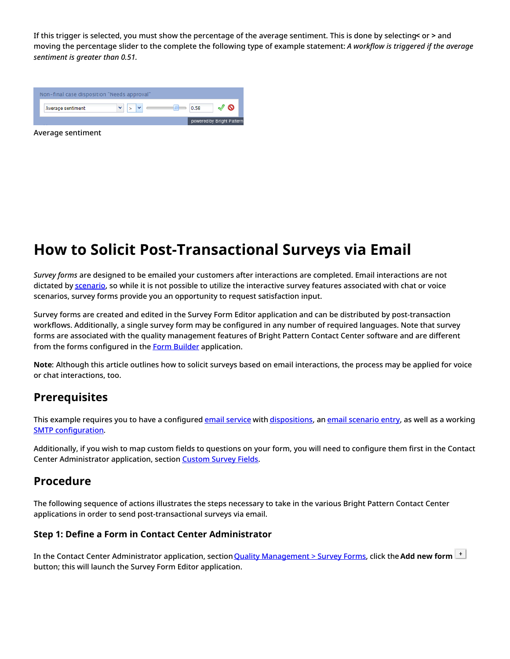If this trigger is selected, you must show the percentage of the average sentiment. This is done by selecting**<** or **>** and moving the percentage slider to the complete the following type of example statement: *A workflow is triggered if the average sentiment is greater than 0.51.*

| Non-final case disposition "Needs approval" |      |                           |
|---------------------------------------------|------|---------------------------|
| Average sentiment                           | 0.58 |                           |
|                                             |      | powered by Bright Pattern |

Average sentiment

# <span id="page-4-0"></span>**How to Solicit Post-Transactional Surveys via Email**

*Survey forms* are designed to be emailed your customers after interactions are completed. Email interactions are not dictated by [scenario](https://help.brightpattern.com/5.8:Contact-center-administrator-guide/QualityManagement/SurveyForms/?action=html-localimages-export#topic_contact-center-administrator-guide.2Fscenariosoverview), so while it is not possible to utilize the interactive survey features associated with chat or voice scenarios, survey forms provide you an opportunity to request satisfaction input.

Survey forms are created and edited in the Survey Form Editor application and can be distributed by post-transaction workflows. Additionally, a single survey form may be configured in any number of required languages. Note that survey forms are associated with the quality management features of Bright Pattern Contact Center software and are different from the forms configured in the **Form [Builder](https://help.brightpattern.com/5.8:Contact-center-administrator-guide/QualityManagement/SurveyForms/?action=html-localimages-export#topic_form-builder-reference-guide.2Fpurpose)** application.

**Note**: Although this article outlines how to solicit surveys based on email interactions, the process may be applied for voice or chat interactions, too.

# <span id="page-4-1"></span>**Prerequisites**

This example requires you to have a configured email [service](https://help.brightpattern.com/5.8:Contact-center-administrator-guide/QualityManagement/SurveyForms/?action=html-localimages-export#topic_contact-center-administrator-guide.2Fservicesandcampaignsoverview) with [dispositions](https://help.brightpattern.com/5.8:Contact-center-administrator-guide/QualityManagement/SurveyForms/?action=html-localimages-export#topic_contact-center-administrator-guide.2Fdispositionstab), an email [scenario](https://help.brightpattern.com/5.8:Contact-center-administrator-guide/QualityManagement/SurveyForms/?action=html-localimages-export#topic_contact-center-administrator-guide.2Femail) entry, as well as a working SMTP [configuration](https://help.brightpattern.com/5.8:Contact-center-administrator-guide/EmailSettings#SMTP_Configuration).

Additionally, if you wish to map custom fields to questions on your form, you will need to configure them first in the Contact Center Administrator application, section [Custom](https://help.brightpattern.com/5.8:Contact-center-administrator-guide/QualityManagement/SurveyForms/?action=html-localimages-export#topic_contact-center-administrator-guide.2Fcustomsurveyfields) Survey Fields.

# <span id="page-4-2"></span>**Procedure**

The following sequence of actions illustrates the steps necessary to take in the various Bright Pattern Contact Center applications in order to send post-transactional surveys via email.

## <span id="page-4-3"></span>**Step 1: Define a Form in Contact Center Administrator**

In the Contact Center Administrator application, sectionQuality [Management](https://help.brightpattern.com/5.8:Contact-center-administrator-guide/QualityManagement/SurveyForms/?action=html-localimages-export#topic_contact-center-administrator-guide.2Fsurveyforms) > Survey Forms, click the **Add new form** button; this will launch the Survey Form Editor application.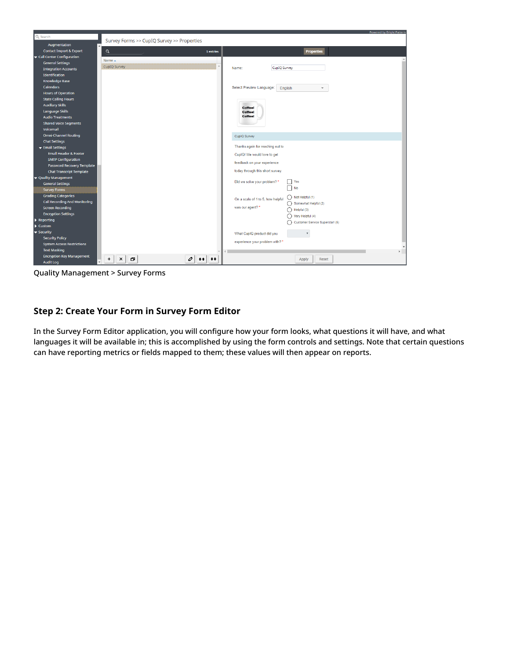

Quality Management > Survey Forms

## <span id="page-5-0"></span>**Step 2: Create Your Form in Survey Form Editor**

In the Survey Form Editor application, you will configure how your form looks, what questions it will have, and what languages it will be available in; this is accomplished by using the form controls and settings. Note that certain questions can have reporting metrics or fields mapped to them; these values will then appear on reports.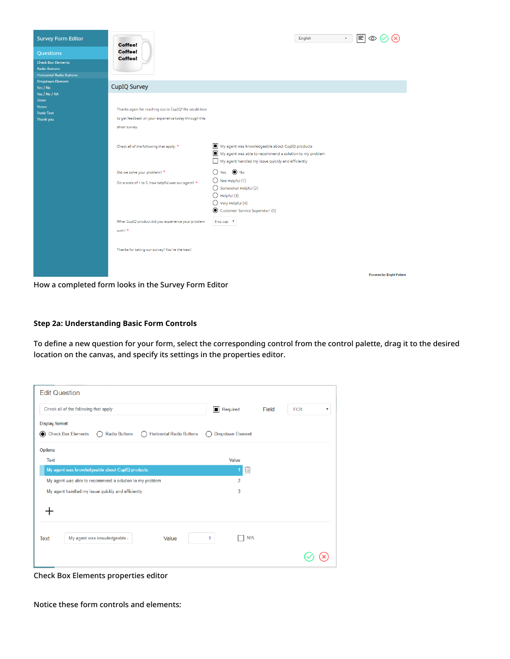

#### <span id="page-6-0"></span>**Step 2a: Understanding Basic Form Controls**

To define a new question for your form, select the corresponding control from the control palette, drag it to the desired location on the canvas, and specify its settings in the properties editor.

| Check all of the following that apply:                  |                              |                                                     | Required                | Field | <b>FCR</b><br>$\boldsymbol{\mathrm{v}}$ |
|---------------------------------------------------------|------------------------------|-----------------------------------------------------|-------------------------|-------|-----------------------------------------|
| <b>Display format</b>                                   |                              |                                                     |                         |       |                                         |
| Check Box Elements                                      | <b>Radio Buttons</b>         | <b>Horizontal Radio Buttons</b><br>$\left( \right)$ | <b>Dropdown Element</b> |       |                                         |
| Options                                                 |                              |                                                     |                         |       |                                         |
| Text                                                    |                              |                                                     | Value                   |       |                                         |
| My agent was knowledgeable about CupIQ products         |                              |                                                     | W                       |       |                                         |
| My agent was able to recommend a solution to my problem |                              |                                                     | 2                       |       |                                         |
| My agent handled my issue quickly and efficiently       |                              |                                                     | 3                       |       |                                         |
|                                                         |                              |                                                     |                         |       |                                         |
|                                                         |                              |                                                     |                         |       |                                         |
|                                                         |                              |                                                     |                         |       |                                         |
|                                                         | My agent was knowledgeable a | Value                                               | N/A<br>1                |       |                                         |

Check Box Elements properties editor

Notice these form controls and elements: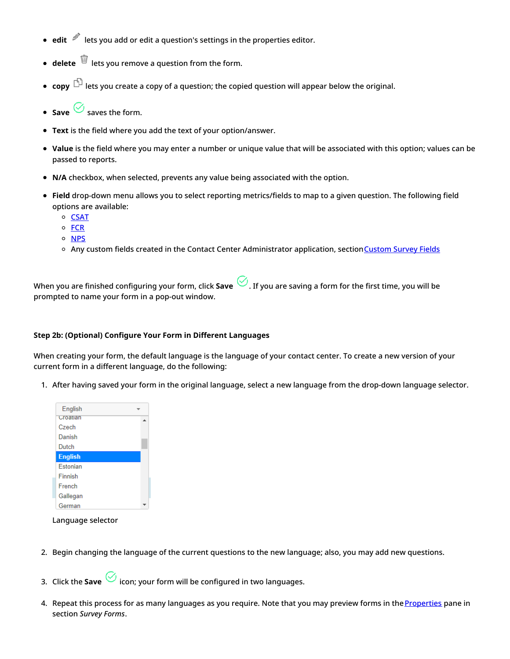- **edit**  $\ell$  lets you add or edit a question's settings in the properties editor.
- **delete**  $\overline{w}$  lets you remove a question from the form.
- **copy**  $\Box$  lets you create a copy of a question; the copied question will appear below the original.
- Save Saves the form.
- **Text** is the field where you add the text of your option/answer.
- **Value** is the field where you may enter a number or unique value that will be associated with this option; values can be passed to reports.
- **N/A** checkbox, when selected, prevents any value being associated with the option.
- **Field** drop-down menu allows you to select reporting metrics/fields to map to a given question. The following field options are available:
	- o [CSAT](https://help.brightpattern.com/5.8:Reporting-reference-guide/AllMetrics#Customer_Satisfaction_.28CSAT.29)
	- o [FCR](https://help.brightpattern.com/5.8:Reporting-reference-guide/AllMetrics#First_Call_Resolution_.28FCR.29)
	- o [NPS](https://help.brightpattern.com/5.8:Reporting-reference-guide/AllMetrics#Net_Promoter_Score_.28NPS.29)
	- o Any custom fields created in the Contact Center Administrator application, section Custom Survey Fields

When you are finished configuring your form, click **Save** . If you are saving a form for the first time, you will be prompted to name your form in a pop-out window.

#### <span id="page-7-0"></span>**Step 2b: (Optional) Configure Your Form in Different Languages**

When creating your form, the default language is the language of your contact center. To create a new version of your current form in a different language, do the following:

1. After having saved your form in the original language, select a new language from the drop-down language selector.



Language selector

- 2. Begin changing the language of the current questions to the new language; also, you may add new questions.
- 3. Click the **Save**  $\bigcirc$  icon; your form will be configured in two languages.
- 4. Repeat this process for as many languages as you require. Note that you may preview forms in the [Properties](https://help.brightpattern.com/5.8:Contact-center-administrator-guide/QualityManagement/SurveyForms#Properties) pane in section *Survey Forms*.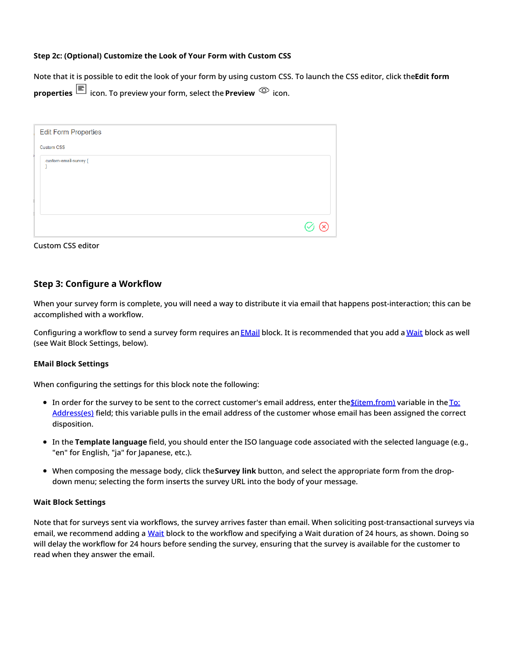### <span id="page-8-0"></span>**Step 2c: (Optional) Customize the Look of Your Form with Custom CSS**

Note that it is possible to edit the look of your form by using custom CSS. To launch the CSS editor, click the**Edit form properties**  $\boxed{\equiv}$  icon. To preview your form, select the **Preview**  $\infty$  icon.

| <b>Edit Form Properties</b> |  |
|-----------------------------|--|
| <b>Custom CSS</b>           |  |
| .custom-email-survey {      |  |
|                             |  |

Custom CSS editor

## <span id="page-8-1"></span>**Step 3: Configure a Workflow**

When your survey form is complete, you will need a way to distribute it via email that happens post-interaction; this can be accomplished with a workflow.

Configuring a workflow to send a survey form requires an **[EMail](https://help.brightpattern.com/5.8:Contact-center-administrator-guide/QualityManagement/SurveyForms/?action=html-localimages-export#topic_workflow-builder-reference-guide.2Femail) block.** It is recommended that you add a [Wait](https://help.brightpattern.com/5.8:Contact-center-administrator-guide/QualityManagement/SurveyForms/?action=html-localimages-export#topic_workflow-builder-reference-guide.2Fwait) block as well (see Wait Block Settings, below).

### <span id="page-8-2"></span>**EMail Block Settings**

When configuring the settings for this block note the following:

- In order for the survey to be sent to the correct customer's email address, enter the \$[\(item.from](https://help.brightpattern.com/5.8:Workflow-builder-reference-guide/Variables#.24.28item.from.29)[\)](https://help.brightpattern.com/5.8:Workflow-builder-reference-guide/EMail#To_.2F_Address.28es.29) variable in the To: Address(es) field; this variable pulls in the email address of the customer whose email has been assigned the correct disposition.
- In the **Template language** field, you should enter the ISO language code associated with the selected language (e.g., "en" for English, "ja" for Japanese, etc.).
- When composing the message body, click the**Survey link** button, and select the appropriate form from the dropdown menu; selecting the form inserts the survey URL into the body of your message.

### <span id="page-8-3"></span>**Wait Block Settings**

Note that for surveys sent via workflows, the survey arrives faster than email. When soliciting post-transactional surveys via email, we recommend adding a [Wait](https://help.brightpattern.com/5.8:Contact-center-administrator-guide/QualityManagement/SurveyForms/?action=html-localimages-export#topic_workflow-builder-reference-guide.2Fwait) block to the workflow and specifying a Wait duration of 24 hours, as shown. Doing so will delay the workflow for 24 hours before sending the survey, ensuring that the survey is available for the customer to read when they answer the email.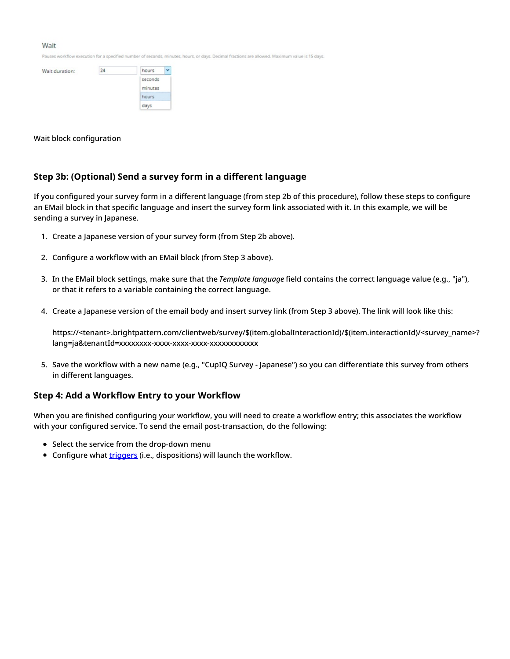Wait

Pauses workflow execution for a specified number of seconds, minutes, hours, or days. Decimal fractions are allowed. Maximum value is 15 days.



Wait block configuration

## <span id="page-9-0"></span>**Step 3b: (Optional) Send a survey form in a different language**

If you configured your survey form in a different language (from step 2b of this procedure), follow these steps to configure an EMail block in that specific language and insert the survey form link associated with it. In this example, we will be sending a survey in Japanese.

- 1. Create a Japanese version of your survey form (from Step 2b above).
- 2. Configure a workflow with an EMail block (from Step 3 above).
- 3. In the EMail block settings, make sure that the *Template language* field contains the correct language value (e.g., "ja"), or that it refers to a variable containing the correct language.
- 4. Create a Japanese version of the email body and insert survey link (from Step 3 above). The link will look like this:

https://<tenant>.brightpattern.com/clientweb/survey/\$(item.globalInteractionId)/\$(item.interactionId)/<survey\_name>? lang=ja&tenantId=xxxxxxxx-xxxx-xxxx-xxxx-xxxxxxxxxxxx

5. Save the workflow with a new name (e.g., "CupIQ Survey - Japanese") so you can differentiate this survey from others in different languages.

## <span id="page-9-1"></span>**Step 4: Add a Workflow Entry to your Workflow**

When you are finished configuring your workflow, you will need to create a workflow entry; this associates the workflow with your configured service. To send the email post-transaction, do the following:

- Select the service from the drop-down menu
- Configure what *[triggers](https://help.brightpattern.com/5.8:Contact-center-administrator-guide/WorkflowEntries#Triggers)* (i.e., dispositions) will launch the workflow.